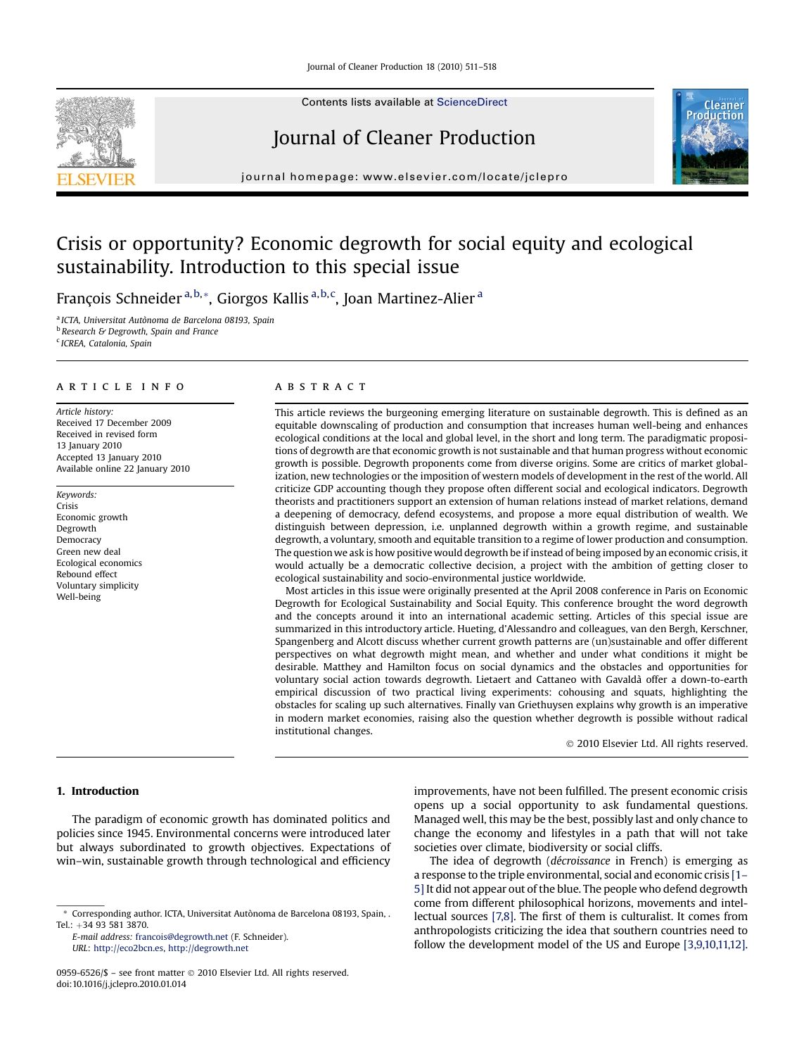

Contents lists available at [ScienceDirect](www.sciencedirect.com/science/journal/09596526)

# Journal of Cleaner Production



journal homepage: [www.elsevier.com/locate/jclepro](http://www.elsevier.com/locate/jclepro)

# Crisis or opportunity? Economic degrowth for social equity and ecological sustainability. Introduction to this special issue

François Schneider<sup>a,b,</sup>\*, Giorgos Kallis<sup>a,b,c</sup>, Joan Martinez-Alier<sup>a</sup>

<sup>a</sup> ICTA, Universitat Autònoma de Barcelona 08193, Spain **b** Research & Degrowth, Spain and France <sup>c</sup> ICREA, Catalonia, Spain

#### article info

Article history: Received 17 December 2009 Received in revised form 13 January 2010 Accepted 13 January 2010 Available online 22 January 2010

Keywords: Crisis Economic growth Degrowth Democracy Green new deal Ecological economics Rebound effect Voluntary simplicity Well-being

### **ABSTRACT**

This article reviews the burgeoning emerging literature on sustainable degrowth. This is defined as an equitable downscaling of production and consumption that increases human well-being and enhances ecological conditions at the local and global level, in the short and long term. The paradigmatic propositions of degrowth are that economic growth is not sustainable and that human progress without economic growth is possible. Degrowth proponents come from diverse origins. Some are critics of market globalization, new technologies or the imposition of western models of development in the rest of the world. All criticize GDP accounting though they propose often different social and ecological indicators. Degrowth theorists and practitioners support an extension of human relations instead of market relations, demand a deepening of democracy, defend ecosystems, and propose a more equal distribution of wealth. We distinguish between depression, i.e. unplanned degrowth within a growth regime, and sustainable degrowth, a voluntary, smooth and equitable transition to a regime of lower production and consumption. The question we ask is how positive would degrowth be if instead of being imposed by an economic crisis, it would actually be a democratic collective decision, a project with the ambition of getting closer to ecological sustainability and socio-environmental justice worldwide.

Most articles in this issue were originally presented at the April 2008 conference in Paris on Economic Degrowth for Ecological Sustainability and Social Equity. This conference brought the word degrowth and the concepts around it into an international academic setting. Articles of this special issue are summarized in this introductory article. Hueting, d'Alessandro and colleagues, van den Bergh, Kerschner, Spangenberg and Alcott discuss whether current growth patterns are (un)sustainable and offer different perspectives on what degrowth might mean, and whether and under what conditions it might be desirable. Matthey and Hamilton focus on social dynamics and the obstacles and opportunities for voluntary social action towards degrowth. Lietaert and Cattaneo with Gavalda` offer a down-to-earth empirical discussion of two practical living experiments: cohousing and squats, highlighting the obstacles for scaling up such alternatives. Finally van Griethuysen explains why growth is an imperative in modern market economies, raising also the question whether degrowth is possible without radical institutional changes.

- 2010 Elsevier Ltd. All rights reserved.

## 1. Introduction

The paradigm of economic growth has dominated politics and policies since 1945. Environmental concerns were introduced later but always subordinated to growth objectives. Expectations of win–win, sustainable growth through technological and efficiency

improvements, have not been fulfilled. The present economic crisis opens up a social opportunity to ask fundamental questions. Managed well, this may be the best, possibly last and only chance to change the economy and lifestyles in a path that will not take societies over climate, biodiversity or social cliffs.

The idea of degrowth (décroissance in French) is emerging as a response to the triple environmental, social and economic crisis [\[1–](#page-6-0) [5\]](#page-6-0) It did not appear out of the blue. The people who defend degrowth come from different philosophical horizons, movements and intellectual sources [\[7,8\]](#page-6-0). The first of them is culturalist. It comes from anthropologists criticizing the idea that southern countries need to follow the development model of the US and Europe [\[3,9,10,11,12\].](#page-6-0)

<sup>\*</sup> Corresponding author. ICTA, Universitat Autònoma de Barcelona 08193, Spain, . Tel.: +34 93 581 3870.

E-mail address: [francois@degrowth.net](mailto:francois@degrowth.net) (F. Schneider). URL: [http://eco2bcn.es,](http://eco2bcn.es) <http://degrowth.net>

<sup>0959-6526/\$ –</sup> see front matter © 2010 Elsevier Ltd. All rights reserved. doi:10.1016/j.jclepro.2010.01.014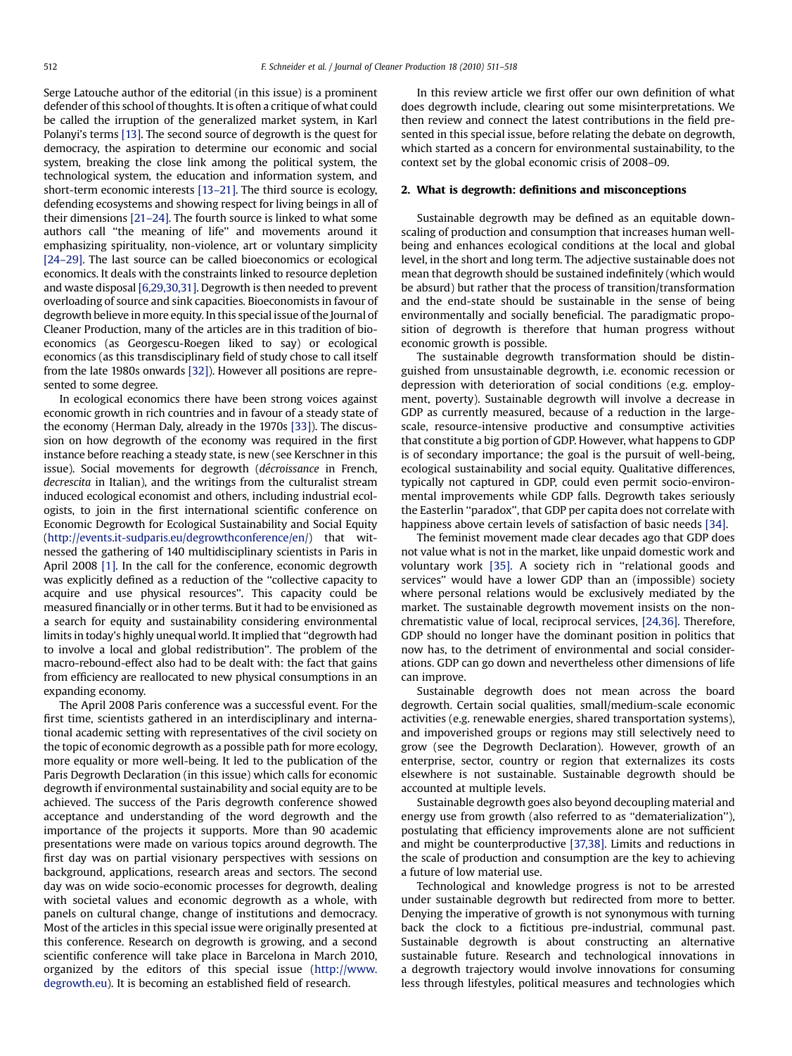Serge Latouche author of the editorial (in this issue) is a prominent defender of this school of thoughts. It is often a critique of what could be called the irruption of the generalized market system, in Karl Polanyi's terms [\[13\].](#page-6-0) The second source of degrowth is the quest for democracy, the aspiration to determine our economic and social system, breaking the close link among the political system, the technological system, the education and information system, and short-term economic interests [\[13–21\]](#page-6-0). The third source is ecology, defending ecosystems and showing respect for living beings in all of their dimensions [\[21–24\].](#page-6-0) The fourth source is linked to what some authors call ''the meaning of life'' and movements around it emphasizing spirituality, non-violence, art or voluntary simplicity [\[24–29\].](#page-6-0) The last source can be called bioeconomics or ecological economics. It deals with the constraints linked to resource depletion and waste disposal [\[6,29,30,31\].](#page-6-0) Degrowth is then needed to prevent overloading of source and sink capacities. Bioeconomists in favour of degrowth believe in more equity. In this special issue of the Journal of Cleaner Production, many of the articles are in this tradition of bioeconomics (as Georgescu-Roegen liked to say) or ecological economics (as this transdisciplinary field of study chose to call itself from the late 1980s onwards [\[32\]\)](#page-6-0). However all positions are represented to some degree.

In ecological economics there have been strong voices against economic growth in rich countries and in favour of a steady state of the economy (Herman Daly, already in the 1970s [\[33\]\)](#page-6-0). The discussion on how degrowth of the economy was required in the first instance before reaching a steady state, is new (see Kerschner in this issue). Social movements for degrowth (*décroissance* in French, decrescita in Italian), and the writings from the culturalist stream induced ecological economist and others, including industrial ecologists, to join in the first international scientific conference on Economic Degrowth for Ecological Sustainability and Social Equity ([http://events.it-sudparis.eu/degrowthconference/en/\)](http://events.it-sudparis.eu/degrowthconference/en/) that witnessed the gathering of 140 multidisciplinary scientists in Paris in April 2008 [\[1\].](#page-6-0) In the call for the conference, economic degrowth was explicitly defined as a reduction of the ''collective capacity to acquire and use physical resources''. This capacity could be measured financially or in other terms. But it had to be envisioned as a search for equity and sustainability considering environmental limits in today's highly unequal world. It implied that ''degrowth had to involve a local and global redistribution''. The problem of the macro-rebound-effect also had to be dealt with: the fact that gains from efficiency are reallocated to new physical consumptions in an expanding economy.

The April 2008 Paris conference was a successful event. For the first time, scientists gathered in an interdisciplinary and international academic setting with representatives of the civil society on the topic of economic degrowth as a possible path for more ecology, more equality or more well-being. It led to the publication of the Paris Degrowth Declaration (in this issue) which calls for economic degrowth if environmental sustainability and social equity are to be achieved. The success of the Paris degrowth conference showed acceptance and understanding of the word degrowth and the importance of the projects it supports. More than 90 academic presentations were made on various topics around degrowth. The first day was on partial visionary perspectives with sessions on background, applications, research areas and sectors. The second day was on wide socio-economic processes for degrowth, dealing with societal values and economic degrowth as a whole, with panels on cultural change, change of institutions and democracy. Most of the articles in this special issue were originally presented at this conference. Research on degrowth is growing, and a second scientific conference will take place in Barcelona in March 2010, organized by the editors of this special issue ([http://www.](http://www.degrowth.eu) [degrowth.eu\)](http://www.degrowth.eu). It is becoming an established field of research.

In this review article we first offer our own definition of what does degrowth include, clearing out some misinterpretations. We then review and connect the latest contributions in the field presented in this special issue, before relating the debate on degrowth, which started as a concern for environmental sustainability, to the context set by the global economic crisis of 2008–09.

### 2. What is degrowth: definitions and misconceptions

Sustainable degrowth may be defined as an equitable downscaling of production and consumption that increases human wellbeing and enhances ecological conditions at the local and global level, in the short and long term. The adjective sustainable does not mean that degrowth should be sustained indefinitely (which would be absurd) but rather that the process of transition/transformation and the end-state should be sustainable in the sense of being environmentally and socially beneficial. The paradigmatic proposition of degrowth is therefore that human progress without economic growth is possible.

The sustainable degrowth transformation should be distinguished from unsustainable degrowth, i.e. economic recession or depression with deterioration of social conditions (e.g. employment, poverty). Sustainable degrowth will involve a decrease in GDP as currently measured, because of a reduction in the largescale, resource-intensive productive and consumptive activities that constitute a big portion of GDP. However, what happens to GDP is of secondary importance; the goal is the pursuit of well-being, ecological sustainability and social equity. Qualitative differences, typically not captured in GDP, could even permit socio-environmental improvements while GDP falls. Degrowth takes seriously the Easterlin ''paradox'', that GDP per capita does not correlate with happiness above certain levels of satisfaction of basic needs [\[34\].](#page-6-0)

The feminist movement made clear decades ago that GDP does not value what is not in the market, like unpaid domestic work and voluntary work [\[35\].](#page-6-0) A society rich in "relational goods and services'' would have a lower GDP than an (impossible) society where personal relations would be exclusively mediated by the market. The sustainable degrowth movement insists on the nonchrematistic value of local, reciprocal services, [\[24,36\].](#page-6-0) Therefore, GDP should no longer have the dominant position in politics that now has, to the detriment of environmental and social considerations. GDP can go down and nevertheless other dimensions of life can improve.

Sustainable degrowth does not mean across the board degrowth. Certain social qualities, small/medium-scale economic activities (e.g. renewable energies, shared transportation systems), and impoverished groups or regions may still selectively need to grow (see the Degrowth Declaration). However, growth of an enterprise, sector, country or region that externalizes its costs elsewhere is not sustainable. Sustainable degrowth should be accounted at multiple levels.

Sustainable degrowth goes also beyond decoupling material and energy use from growth (also referred to as ''dematerialization''), postulating that efficiency improvements alone are not sufficient and might be counterproductive [\[37,38\].](#page-6-0) Limits and reductions in the scale of production and consumption are the key to achieving a future of low material use.

Technological and knowledge progress is not to be arrested under sustainable degrowth but redirected from more to better. Denying the imperative of growth is not synonymous with turning back the clock to a fictitious pre-industrial, communal past. Sustainable degrowth is about constructing an alternative sustainable future. Research and technological innovations in a degrowth trajectory would involve innovations for consuming less through lifestyles, political measures and technologies which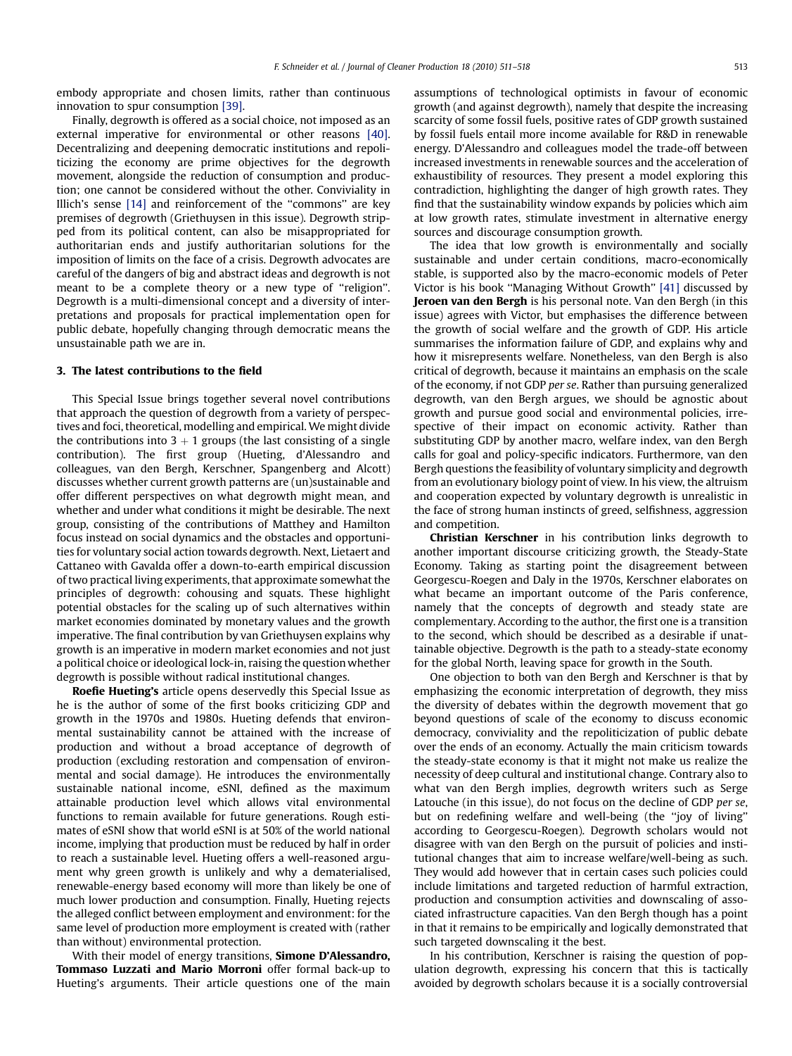embody appropriate and chosen limits, rather than continuous innovation to spur consumption [\[39\]](#page-6-0).

Finally, degrowth is offered as a social choice, not imposed as an external imperative for environmental or other reasons [\[40\].](#page-6-0) Decentralizing and deepening democratic institutions and repoliticizing the economy are prime objectives for the degrowth movement, alongside the reduction of consumption and production; one cannot be considered without the other. Conviviality in Illich's sense [\[14\]](#page-6-0) and reinforcement of the ''commons'' are key premises of degrowth (Griethuysen in this issue). Degrowth stripped from its political content, can also be misappropriated for authoritarian ends and justify authoritarian solutions for the imposition of limits on the face of a crisis. Degrowth advocates are careful of the dangers of big and abstract ideas and degrowth is not meant to be a complete theory or a new type of "religion". Degrowth is a multi-dimensional concept and a diversity of interpretations and proposals for practical implementation open for public debate, hopefully changing through democratic means the unsustainable path we are in.

## 3. The latest contributions to the field

This Special Issue brings together several novel contributions that approach the question of degrowth from a variety of perspectives and foci, theoretical, modelling and empirical. We might divide the contributions into  $3 + 1$  groups (the last consisting of a single contribution). The first group (Hueting, d'Alessandro and colleagues, van den Bergh, Kerschner, Spangenberg and Alcott) discusses whether current growth patterns are (un)sustainable and offer different perspectives on what degrowth might mean, and whether and under what conditions it might be desirable. The next group, consisting of the contributions of Matthey and Hamilton focus instead on social dynamics and the obstacles and opportunities for voluntary social action towards degrowth. Next, Lietaert and Cattaneo with Gavalda offer a down-to-earth empirical discussion of two practical living experiments, that approximate somewhat the principles of degrowth: cohousing and squats. These highlight potential obstacles for the scaling up of such alternatives within market economies dominated by monetary values and the growth imperative. The final contribution by van Griethuysen explains why growth is an imperative in modern market economies and not just a political choice or ideological lock-in, raising the question whether degrowth is possible without radical institutional changes.

Roefie Hueting's article opens deservedly this Special Issue as he is the author of some of the first books criticizing GDP and growth in the 1970s and 1980s. Hueting defends that environmental sustainability cannot be attained with the increase of production and without a broad acceptance of degrowth of production (excluding restoration and compensation of environmental and social damage). He introduces the environmentally sustainable national income, eSNI, defined as the maximum attainable production level which allows vital environmental functions to remain available for future generations. Rough estimates of eSNI show that world eSNI is at 50% of the world national income, implying that production must be reduced by half in order to reach a sustainable level. Hueting offers a well-reasoned argument why green growth is unlikely and why a dematerialised, renewable-energy based economy will more than likely be one of much lower production and consumption. Finally, Hueting rejects the alleged conflict between employment and environment: for the same level of production more employment is created with (rather than without) environmental protection.

With their model of energy transitions, **Simone D'Alessandro**, Tommaso Luzzati and Mario Morroni offer formal back-up to Hueting's arguments. Their article questions one of the main assumptions of technological optimists in favour of economic growth (and against degrowth), namely that despite the increasing scarcity of some fossil fuels, positive rates of GDP growth sustained by fossil fuels entail more income available for R&D in renewable energy. D'Alessandro and colleagues model the trade-off between increased investments in renewable sources and the acceleration of exhaustibility of resources. They present a model exploring this contradiction, highlighting the danger of high growth rates. They find that the sustainability window expands by policies which aim at low growth rates, stimulate investment in alternative energy sources and discourage consumption growth.

The idea that low growth is environmentally and socially sustainable and under certain conditions, macro-economically stable, is supported also by the macro-economic models of Peter Victor is his book ''Managing Without Growth'' [\[41\]](#page-6-0) discussed by Jeroen van den Bergh is his personal note. Van den Bergh (in this issue) agrees with Victor, but emphasises the difference between the growth of social welfare and the growth of GDP. His article summarises the information failure of GDP, and explains why and how it misrepresents welfare. Nonetheless, van den Bergh is also critical of degrowth, because it maintains an emphasis on the scale of the economy, if not GDP per se. Rather than pursuing generalized degrowth, van den Bergh argues, we should be agnostic about growth and pursue good social and environmental policies, irrespective of their impact on economic activity. Rather than substituting GDP by another macro, welfare index, van den Bergh calls for goal and policy-specific indicators. Furthermore, van den Bergh questions the feasibility of voluntary simplicity and degrowth from an evolutionary biology point of view. In his view, the altruism and cooperation expected by voluntary degrowth is unrealistic in the face of strong human instincts of greed, selfishness, aggression and competition.

Christian Kerschner in his contribution links degrowth to another important discourse criticizing growth, the Steady-State Economy. Taking as starting point the disagreement between Georgescu-Roegen and Daly in the 1970s, Kerschner elaborates on what became an important outcome of the Paris conference, namely that the concepts of degrowth and steady state are complementary. According to the author, the first one is a transition to the second, which should be described as a desirable if unattainable objective. Degrowth is the path to a steady-state economy for the global North, leaving space for growth in the South.

One objection to both van den Bergh and Kerschner is that by emphasizing the economic interpretation of degrowth, they miss the diversity of debates within the degrowth movement that go beyond questions of scale of the economy to discuss economic democracy, conviviality and the repoliticization of public debate over the ends of an economy. Actually the main criticism towards the steady-state economy is that it might not make us realize the necessity of deep cultural and institutional change. Contrary also to what van den Bergh implies, degrowth writers such as Serge Latouche (in this issue), do not focus on the decline of GDP per se, but on redefining welfare and well-being (the ''joy of living'' according to Georgescu-Roegen). Degrowth scholars would not disagree with van den Bergh on the pursuit of policies and institutional changes that aim to increase welfare/well-being as such. They would add however that in certain cases such policies could include limitations and targeted reduction of harmful extraction, production and consumption activities and downscaling of associated infrastructure capacities. Van den Bergh though has a point in that it remains to be empirically and logically demonstrated that such targeted downscaling it the best.

In his contribution, Kerschner is raising the question of population degrowth, expressing his concern that this is tactically avoided by degrowth scholars because it is a socially controversial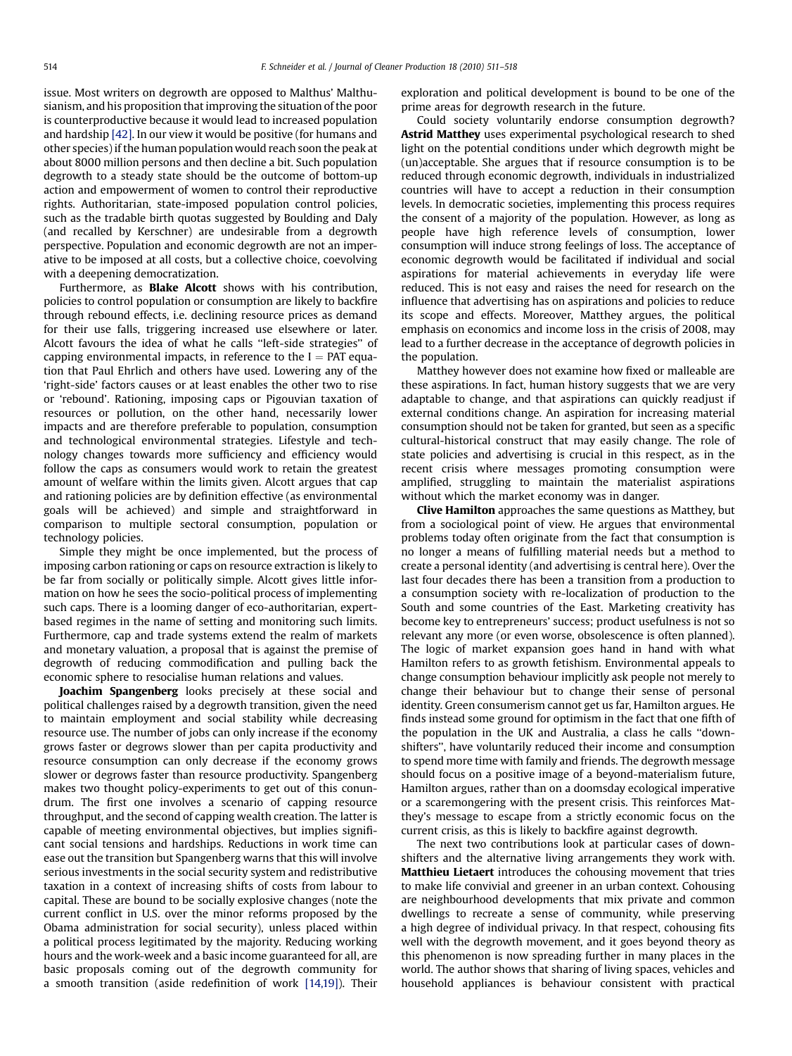issue. Most writers on degrowth are opposed to Malthus' Malthusianism, and his proposition that improving the situation of the poor is counterproductive because it would lead to increased population and hardship [\[42\]](#page-6-0). In our view it would be positive (for humans and other species) if the human populationwould reach soon the peak at about 8000 million persons and then decline a bit. Such population degrowth to a steady state should be the outcome of bottom-up action and empowerment of women to control their reproductive rights. Authoritarian, state-imposed population control policies, such as the tradable birth quotas suggested by Boulding and Daly (and recalled by Kerschner) are undesirable from a degrowth perspective. Population and economic degrowth are not an imperative to be imposed at all costs, but a collective choice, coevolving with a deepening democratization.

Furthermore, as **Blake Alcott** shows with his contribution, policies to control population or consumption are likely to backfire through rebound effects, i.e. declining resource prices as demand for their use falls, triggering increased use elsewhere or later. Alcott favours the idea of what he calls ''left-side strategies'' of capping environmental impacts, in reference to the  $I = PAT$  equation that Paul Ehrlich and others have used. Lowering any of the 'right-side' factors causes or at least enables the other two to rise or 'rebound'. Rationing, imposing caps or Pigouvian taxation of resources or pollution, on the other hand, necessarily lower impacts and are therefore preferable to population, consumption and technological environmental strategies. Lifestyle and technology changes towards more sufficiency and efficiency would follow the caps as consumers would work to retain the greatest amount of welfare within the limits given. Alcott argues that cap and rationing policies are by definition effective (as environmental goals will be achieved) and simple and straightforward in comparison to multiple sectoral consumption, population or technology policies.

Simple they might be once implemented, but the process of imposing carbon rationing or caps on resource extraction is likely to be far from socially or politically simple. Alcott gives little information on how he sees the socio-political process of implementing such caps. There is a looming danger of eco-authoritarian, expertbased regimes in the name of setting and monitoring such limits. Furthermore, cap and trade systems extend the realm of markets and monetary valuation, a proposal that is against the premise of degrowth of reducing commodification and pulling back the economic sphere to resocialise human relations and values.

Joachim Spangenberg looks precisely at these social and political challenges raised by a degrowth transition, given the need to maintain employment and social stability while decreasing resource use. The number of jobs can only increase if the economy grows faster or degrows slower than per capita productivity and resource consumption can only decrease if the economy grows slower or degrows faster than resource productivity. Spangenberg makes two thought policy-experiments to get out of this conundrum. The first one involves a scenario of capping resource throughput, and the second of capping wealth creation. The latter is capable of meeting environmental objectives, but implies significant social tensions and hardships. Reductions in work time can ease out the transition but Spangenberg warns that this will involve serious investments in the social security system and redistributive taxation in a context of increasing shifts of costs from labour to capital. These are bound to be socially explosive changes (note the current conflict in U.S. over the minor reforms proposed by the Obama administration for social security), unless placed within a political process legitimated by the majority. Reducing working hours and the work-week and a basic income guaranteed for all, are basic proposals coming out of the degrowth community for a smooth transition (aside redefinition of work [\[14,19\]](#page-6-0)). Their exploration and political development is bound to be one of the prime areas for degrowth research in the future.

Could society voluntarily endorse consumption degrowth? Astrid Matthey uses experimental psychological research to shed light on the potential conditions under which degrowth might be (un)acceptable. She argues that if resource consumption is to be reduced through economic degrowth, individuals in industrialized countries will have to accept a reduction in their consumption levels. In democratic societies, implementing this process requires the consent of a majority of the population. However, as long as people have high reference levels of consumption, lower consumption will induce strong feelings of loss. The acceptance of economic degrowth would be facilitated if individual and social aspirations for material achievements in everyday life were reduced. This is not easy and raises the need for research on the influence that advertising has on aspirations and policies to reduce its scope and effects. Moreover, Matthey argues, the political emphasis on economics and income loss in the crisis of 2008, may lead to a further decrease in the acceptance of degrowth policies in the population.

Matthey however does not examine how fixed or malleable are these aspirations. In fact, human history suggests that we are very adaptable to change, and that aspirations can quickly readjust if external conditions change. An aspiration for increasing material consumption should not be taken for granted, but seen as a specific cultural-historical construct that may easily change. The role of state policies and advertising is crucial in this respect, as in the recent crisis where messages promoting consumption were amplified, struggling to maintain the materialist aspirations without which the market economy was in danger.

Clive Hamilton approaches the same questions as Matthey, but from a sociological point of view. He argues that environmental problems today often originate from the fact that consumption is no longer a means of fulfilling material needs but a method to create a personal identity (and advertising is central here). Over the last four decades there has been a transition from a production to a consumption society with re-localization of production to the South and some countries of the East. Marketing creativity has become key to entrepreneurs' success; product usefulness is not so relevant any more (or even worse, obsolescence is often planned). The logic of market expansion goes hand in hand with what Hamilton refers to as growth fetishism. Environmental appeals to change consumption behaviour implicitly ask people not merely to change their behaviour but to change their sense of personal identity. Green consumerism cannot get us far, Hamilton argues. He finds instead some ground for optimism in the fact that one fifth of the population in the UK and Australia, a class he calls ''downshifters'', have voluntarily reduced their income and consumption to spend more time with family and friends. The degrowth message should focus on a positive image of a beyond-materialism future, Hamilton argues, rather than on a doomsday ecological imperative or a scaremongering with the present crisis. This reinforces Matthey's message to escape from a strictly economic focus on the current crisis, as this is likely to backfire against degrowth.

The next two contributions look at particular cases of downshifters and the alternative living arrangements they work with. Matthieu Lietaert introduces the cohousing movement that tries to make life convivial and greener in an urban context. Cohousing are neighbourhood developments that mix private and common dwellings to recreate a sense of community, while preserving a high degree of individual privacy. In that respect, cohousing fits well with the degrowth movement, and it goes beyond theory as this phenomenon is now spreading further in many places in the world. The author shows that sharing of living spaces, vehicles and household appliances is behaviour consistent with practical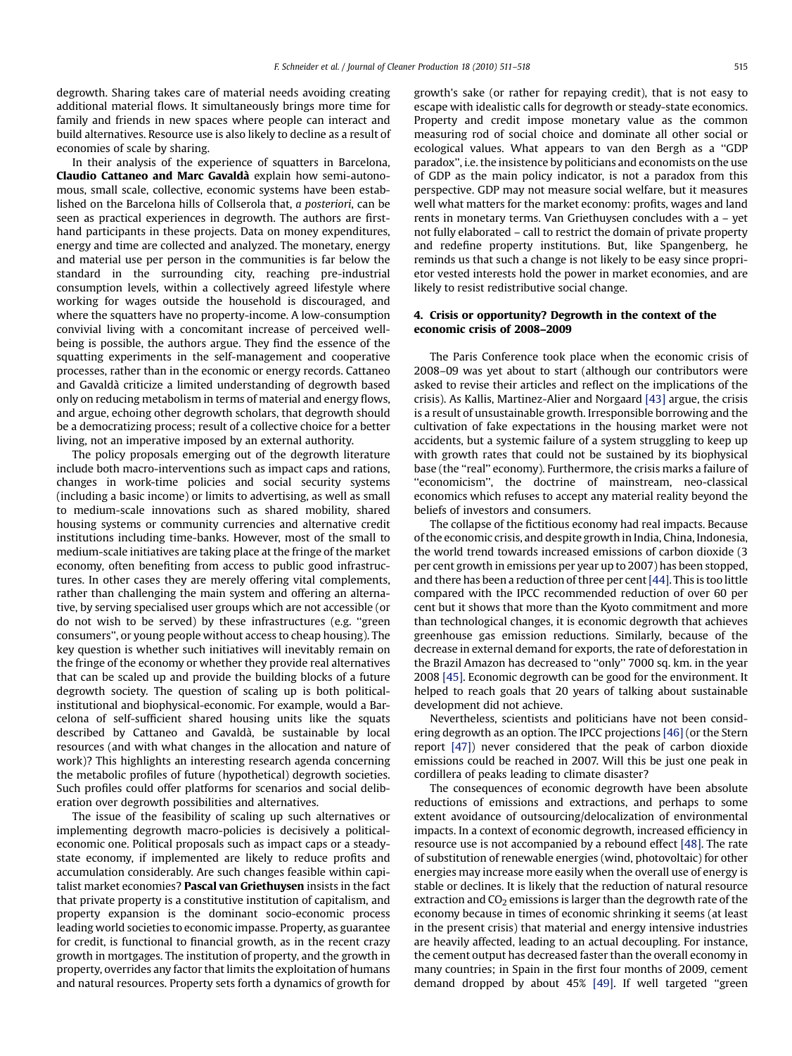degrowth. Sharing takes care of material needs avoiding creating additional material flows. It simultaneously brings more time for family and friends in new spaces where people can interact and build alternatives. Resource use is also likely to decline as a result of economies of scale by sharing.

In their analysis of the experience of squatters in Barcelona, Claudio Cattaneo and Marc Gavalda` explain how semi-autonomous, small scale, collective, economic systems have been established on the Barcelona hills of Collserola that, a posteriori, can be seen as practical experiences in degrowth. The authors are firsthand participants in these projects. Data on money expenditures, energy and time are collected and analyzed. The monetary, energy and material use per person in the communities is far below the standard in the surrounding city, reaching pre-industrial consumption levels, within a collectively agreed lifestyle where working for wages outside the household is discouraged, and where the squatters have no property-income. A low-consumption convivial living with a concomitant increase of perceived wellbeing is possible, the authors argue. They find the essence of the squatting experiments in the self-management and cooperative processes, rather than in the economic or energy records. Cattaneo and Gavalda` criticize a limited understanding of degrowth based only on reducing metabolism in terms of material and energy flows, and argue, echoing other degrowth scholars, that degrowth should be a democratizing process; result of a collective choice for a better living, not an imperative imposed by an external authority.

The policy proposals emerging out of the degrowth literature include both macro-interventions such as impact caps and rations, changes in work-time policies and social security systems (including a basic income) or limits to advertising, as well as small to medium-scale innovations such as shared mobility, shared housing systems or community currencies and alternative credit institutions including time-banks. However, most of the small to medium-scale initiatives are taking place at the fringe of the market economy, often benefiting from access to public good infrastructures. In other cases they are merely offering vital complements, rather than challenging the main system and offering an alternative, by serving specialised user groups which are not accessible (or do not wish to be served) by these infrastructures (e.g. ''green consumers'', or young people without access to cheap housing). The key question is whether such initiatives will inevitably remain on the fringe of the economy or whether they provide real alternatives that can be scaled up and provide the building blocks of a future degrowth society. The question of scaling up is both politicalinstitutional and biophysical-economic. For example, would a Barcelona of self-sufficient shared housing units like the squats described by Cattaneo and Gavaldà, be sustainable by local resources (and with what changes in the allocation and nature of work)? This highlights an interesting research agenda concerning the metabolic profiles of future (hypothetical) degrowth societies. Such profiles could offer platforms for scenarios and social deliberation over degrowth possibilities and alternatives.

The issue of the feasibility of scaling up such alternatives or implementing degrowth macro-policies is decisively a politicaleconomic one. Political proposals such as impact caps or a steadystate economy, if implemented are likely to reduce profits and accumulation considerably. Are such changes feasible within capitalist market economies? Pascal van Griethuysen insists in the fact that private property is a constitutive institution of capitalism, and property expansion is the dominant socio-economic process leading world societies to economic impasse. Property, as guarantee for credit, is functional to financial growth, as in the recent crazy growth in mortgages. The institution of property, and the growth in property, overrides any factor that limits the exploitation of humans and natural resources. Property sets forth a dynamics of growth for

growth's sake (or rather for repaying credit), that is not easy to escape with idealistic calls for degrowth or steady-state economics. Property and credit impose monetary value as the common measuring rod of social choice and dominate all other social or ecological values. What appears to van den Bergh as a ''GDP paradox'', i.e. the insistence by politicians and economists on the use of GDP as the main policy indicator, is not a paradox from this perspective. GDP may not measure social welfare, but it measures well what matters for the market economy: profits, wages and land rents in monetary terms. Van Griethuysen concludes with a – yet not fully elaborated – call to restrict the domain of private property and redefine property institutions. But, like Spangenberg, he reminds us that such a change is not likely to be easy since proprietor vested interests hold the power in market economies, and are likely to resist redistributive social change.

## 4. Crisis or opportunity? Degrowth in the context of the economic crisis of 2008–2009

The Paris Conference took place when the economic crisis of 2008–09 was yet about to start (although our contributors were asked to revise their articles and reflect on the implications of the crisis). As Kallis, Martinez-Alier and Norgaard [\[43\]](#page-6-0) argue, the crisis is a result of unsustainable growth. Irresponsible borrowing and the cultivation of fake expectations in the housing market were not accidents, but a systemic failure of a system struggling to keep up with growth rates that could not be sustained by its biophysical base (the "real" economy). Furthermore, the crisis marks a failure of ''economicism'', the doctrine of mainstream, neo-classical economics which refuses to accept any material reality beyond the beliefs of investors and consumers.

The collapse of the fictitious economy had real impacts. Because of the economic crisis, and despite growth in India, China, Indonesia, the world trend towards increased emissions of carbon dioxide (3 per cent growth in emissions per year up to 2007) has been stopped, and there has been a reduction of three per cent  $[44]$ . This is too little compared with the IPCC recommended reduction of over 60 per cent but it shows that more than the Kyoto commitment and more than technological changes, it is economic degrowth that achieves greenhouse gas emission reductions. Similarly, because of the decrease in external demand for exports, the rate of deforestation in the Brazil Amazon has decreased to ''only'' 7000 sq. km. in the year 2008 [\[45\]](#page-7-0). Economic degrowth can be good for the environment. It helped to reach goals that 20 years of talking about sustainable development did not achieve.

Nevertheless, scientists and politicians have not been considering degrowth as an option. The IPCC projections [\[46\]](#page-7-0) (or the Stern report [\[47\]\)](#page-7-0) never considered that the peak of carbon dioxide emissions could be reached in 2007. Will this be just one peak in cordillera of peaks leading to climate disaster?

The consequences of economic degrowth have been absolute reductions of emissions and extractions, and perhaps to some extent avoidance of outsourcing/delocalization of environmental impacts. In a context of economic degrowth, increased efficiency in resource use is not accompanied by a rebound effect [\[48\]](#page-7-0). The rate of substitution of renewable energies (wind, photovoltaic) for other energies may increase more easily when the overall use of energy is stable or declines. It is likely that the reduction of natural resource extraction and  $CO<sub>2</sub>$  emissions is larger than the degrowth rate of the economy because in times of economic shrinking it seems (at least in the present crisis) that material and energy intensive industries are heavily affected, leading to an actual decoupling. For instance, the cement output has decreased faster than the overall economy in many countries; in Spain in the first four months of 2009, cement demand dropped by about 45% [\[49\]](#page-7-0). If well targeted ''green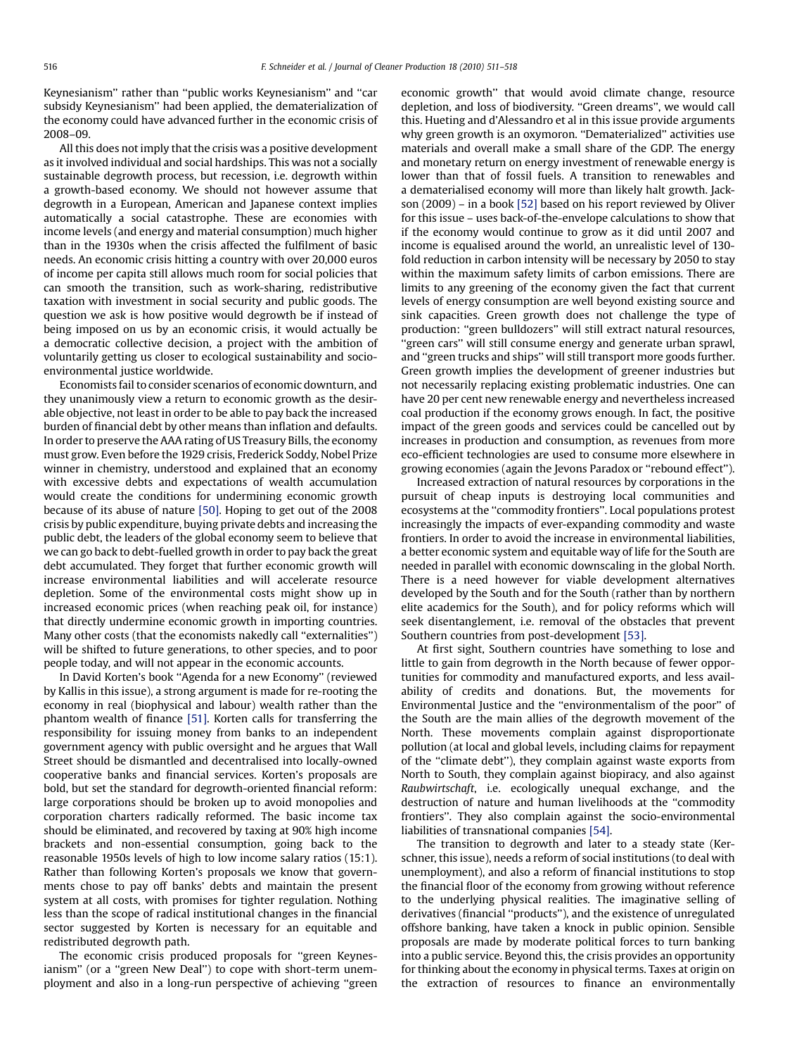Keynesianism'' rather than ''public works Keynesianism'' and ''car subsidy Keynesianism'' had been applied, the dematerialization of the economy could have advanced further in the economic crisis of 2008–09.

All this does not imply that the crisis was a positive development as it involved individual and social hardships. This was not a socially sustainable degrowth process, but recession, i.e. degrowth within a growth-based economy. We should not however assume that degrowth in a European, American and Japanese context implies automatically a social catastrophe. These are economies with income levels (and energy and material consumption) much higher than in the 1930s when the crisis affected the fulfilment of basic needs. An economic crisis hitting a country with over 20,000 euros of income per capita still allows much room for social policies that can smooth the transition, such as work-sharing, redistributive taxation with investment in social security and public goods. The question we ask is how positive would degrowth be if instead of being imposed on us by an economic crisis, it would actually be a democratic collective decision, a project with the ambition of voluntarily getting us closer to ecological sustainability and socioenvironmental justice worldwide.

Economists fail to consider scenarios of economic downturn, and they unanimously view a return to economic growth as the desirable objective, not least in order to be able to pay back the increased burden of financial debt by other means than inflation and defaults. In order to preserve the AAA rating of US Treasury Bills, the economy must grow. Even before the 1929 crisis, Frederick Soddy, Nobel Prize winner in chemistry, understood and explained that an economy with excessive debts and expectations of wealth accumulation would create the conditions for undermining economic growth because of its abuse of nature [\[50\].](#page-7-0) Hoping to get out of the 2008 crisis by public expenditure, buying private debts and increasing the public debt, the leaders of the global economy seem to believe that we can go back to debt-fuelled growth in order to pay back the great debt accumulated. They forget that further economic growth will increase environmental liabilities and will accelerate resource depletion. Some of the environmental costs might show up in increased economic prices (when reaching peak oil, for instance) that directly undermine economic growth in importing countries. Many other costs (that the economists nakedly call "externalities") will be shifted to future generations, to other species, and to poor people today, and will not appear in the economic accounts.

In David Korten's book ''Agenda for a new Economy'' (reviewed by Kallis in this issue), a strong argument is made for re-rooting the economy in real (biophysical and labour) wealth rather than the phantom wealth of finance [\[51\].](#page-7-0) Korten calls for transferring the responsibility for issuing money from banks to an independent government agency with public oversight and he argues that Wall Street should be dismantled and decentralised into locally-owned cooperative banks and financial services. Korten's proposals are bold, but set the standard for degrowth-oriented financial reform: large corporations should be broken up to avoid monopolies and corporation charters radically reformed. The basic income tax should be eliminated, and recovered by taxing at 90% high income brackets and non-essential consumption, going back to the reasonable 1950s levels of high to low income salary ratios (15:1). Rather than following Korten's proposals we know that governments chose to pay off banks' debts and maintain the present system at all costs, with promises for tighter regulation. Nothing less than the scope of radical institutional changes in the financial sector suggested by Korten is necessary for an equitable and redistributed degrowth path.

The economic crisis produced proposals for ''green Keynesianism" (or a "green New Deal") to cope with short-term unemployment and also in a long-run perspective of achieving ''green economic growth'' that would avoid climate change, resource depletion, and loss of biodiversity. ''Green dreams'', we would call this. Hueting and d'Alessandro et al in this issue provide arguments why green growth is an oxymoron. ''Dematerialized'' activities use materials and overall make a small share of the GDP. The energy and monetary return on energy investment of renewable energy is lower than that of fossil fuels. A transition to renewables and a dematerialised economy will more than likely halt growth. Jackson (2009) – in a book [\[52\]](#page-7-0) based on his report reviewed by Oliver for this issue – uses back-of-the-envelope calculations to show that if the economy would continue to grow as it did until 2007 and income is equalised around the world, an unrealistic level of 130 fold reduction in carbon intensity will be necessary by 2050 to stay within the maximum safety limits of carbon emissions. There are limits to any greening of the economy given the fact that current levels of energy consumption are well beyond existing source and sink capacities. Green growth does not challenge the type of production: ''green bulldozers'' will still extract natural resources, "green cars" will still consume energy and generate urban sprawl, and ''green trucks and ships'' will still transport more goods further. Green growth implies the development of greener industries but not necessarily replacing existing problematic industries. One can have 20 per cent new renewable energy and nevertheless increased coal production if the economy grows enough. In fact, the positive impact of the green goods and services could be cancelled out by increases in production and consumption, as revenues from more eco-efficient technologies are used to consume more elsewhere in growing economies (again the Jevons Paradox or ''rebound effect'').

Increased extraction of natural resources by corporations in the pursuit of cheap inputs is destroying local communities and ecosystems at the ''commodity frontiers''. Local populations protest increasingly the impacts of ever-expanding commodity and waste frontiers. In order to avoid the increase in environmental liabilities, a better economic system and equitable way of life for the South are needed in parallel with economic downscaling in the global North. There is a need however for viable development alternatives developed by the South and for the South (rather than by northern elite academics for the South), and for policy reforms which will seek disentanglement, i.e. removal of the obstacles that prevent Southern countries from post-development [\[53\]](#page-7-0).

At first sight, Southern countries have something to lose and little to gain from degrowth in the North because of fewer opportunities for commodity and manufactured exports, and less availability of credits and donations. But, the movements for Environmental Justice and the ''environmentalism of the poor'' of the South are the main allies of the degrowth movement of the North. These movements complain against disproportionate pollution (at local and global levels, including claims for repayment of the ''climate debt''), they complain against waste exports from North to South, they complain against biopiracy, and also against Raubwirtschaft, i.e. ecologically unequal exchange, and the destruction of nature and human livelihoods at the ''commodity frontiers''. They also complain against the socio-environmental liabilities of transnational companies [\[54\].](#page-7-0)

The transition to degrowth and later to a steady state (Kerschner, this issue), needs a reform of social institutions (to deal with unemployment), and also a reform of financial institutions to stop the financial floor of the economy from growing without reference to the underlying physical realities. The imaginative selling of derivatives (financial ''products''), and the existence of unregulated offshore banking, have taken a knock in public opinion. Sensible proposals are made by moderate political forces to turn banking into a public service. Beyond this, the crisis provides an opportunity for thinking about the economy in physical terms. Taxes at origin on the extraction of resources to finance an environmentally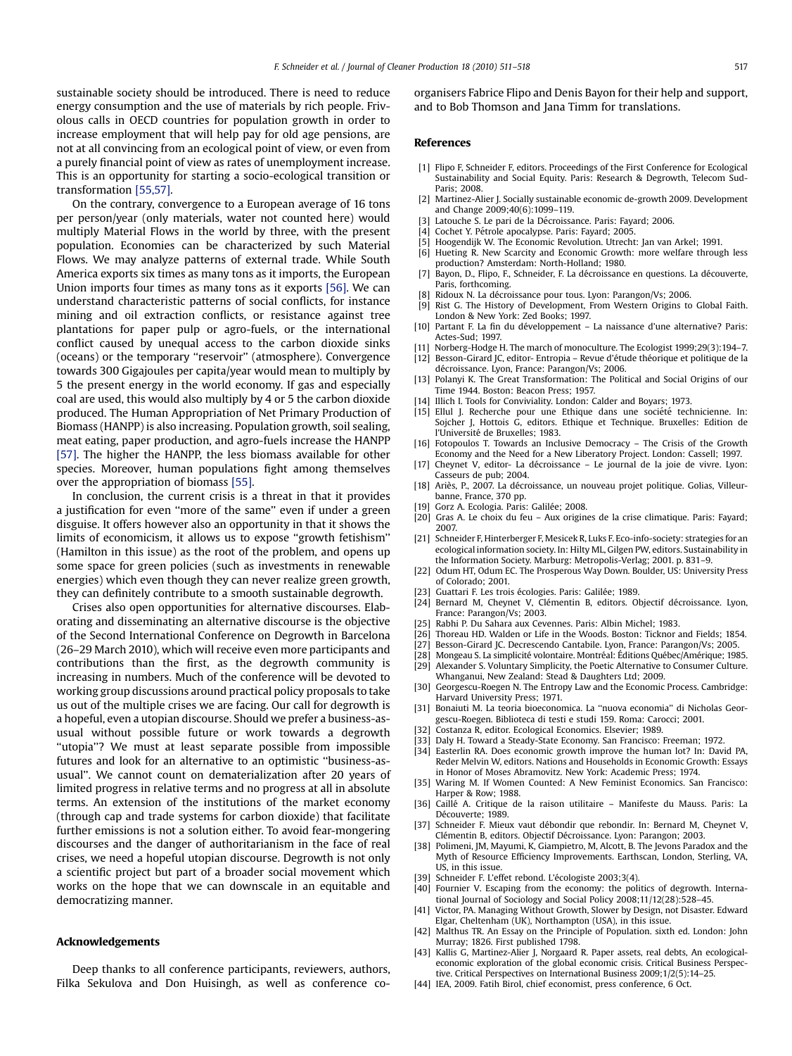<span id="page-6-0"></span>sustainable society should be introduced. There is need to reduce energy consumption and the use of materials by rich people. Frivolous calls in OECD countries for population growth in order to increase employment that will help pay for old age pensions, are not at all convincing from an ecological point of view, or even from a purely financial point of view as rates of unemployment increase. This is an opportunity for starting a socio-ecological transition or transformation [\[55,57\]](#page-7-0).

On the contrary, convergence to a European average of 16 tons per person/year (only materials, water not counted here) would multiply Material Flows in the world by three, with the present population. Economies can be characterized by such Material Flows. We may analyze patterns of external trade. While South America exports six times as many tons as it imports, the European Union imports four times as many tons as it exports [\[56\].](#page-7-0) We can understand characteristic patterns of social conflicts, for instance mining and oil extraction conflicts, or resistance against tree plantations for paper pulp or agro-fuels, or the international conflict caused by unequal access to the carbon dioxide sinks (oceans) or the temporary ''reservoir'' (atmosphere). Convergence towards 300 Gigajoules per capita/year would mean to multiply by 5 the present energy in the world economy. If gas and especially coal are used, this would also multiply by 4 or 5 the carbon dioxide produced. The Human Appropriation of Net Primary Production of Biomass (HANPP) is also increasing. Population growth, soil sealing, meat eating, paper production, and agro-fuels increase the HANPP [\[57\].](#page-7-0) The higher the HANPP, the less biomass available for other species. Moreover, human populations fight among themselves over the appropriation of biomass [\[55\]](#page-7-0).

In conclusion, the current crisis is a threat in that it provides a justification for even ''more of the same'' even if under a green disguise. It offers however also an opportunity in that it shows the limits of economicism, it allows us to expose ''growth fetishism'' (Hamilton in this issue) as the root of the problem, and opens up some space for green policies (such as investments in renewable energies) which even though they can never realize green growth, they can definitely contribute to a smooth sustainable degrowth.

Crises also open opportunities for alternative discourses. Elaborating and disseminating an alternative discourse is the objective of the Second International Conference on Degrowth in Barcelona (26–29 March 2010), which will receive even more participants and contributions than the first, as the degrowth community is increasing in numbers. Much of the conference will be devoted to working group discussions around practical policy proposals to take us out of the multiple crises we are facing. Our call for degrowth is a hopeful, even a utopian discourse. Should we prefer a business-asusual without possible future or work towards a degrowth "utopia"? We must at least separate possible from impossible futures and look for an alternative to an optimistic ''business-asusual''. We cannot count on dematerialization after 20 years of limited progress in relative terms and no progress at all in absolute terms. An extension of the institutions of the market economy (through cap and trade systems for carbon dioxide) that facilitate further emissions is not a solution either. To avoid fear-mongering discourses and the danger of authoritarianism in the face of real crises, we need a hopeful utopian discourse. Degrowth is not only a scientific project but part of a broader social movement which works on the hope that we can downscale in an equitable and democratizing manner.

### Acknowledgements

Deep thanks to all conference participants, reviewers, authors, Filka Sekulova and Don Huisingh, as well as conference coorganisers Fabrice Flipo and Denis Bayon for their help and support, and to Bob Thomson and Jana Timm for translations.

#### References

- [1] Flipo F, Schneider F, editors. Proceedings of the First Conference for Ecological Sustainability and Social Equity. Paris: Research & Degrowth, Telecom Sud-Paris; 2008.
- [2] Martinez-Alier J. Socially sustainable economic de-growth 2009. Development and Change 2009;40(6):1099–119.
- Latouche S. Le pari de la Décroissance. Paris: Fayard; 2006.
- [4] Cochet Y. Pétrole apocalypse. Paris: Fayard; 2005.
- Hoogendijk W. The Economic Revolution. Utrecht: Jan van Arkel; 1991. [6] Hueting R. New Scarcity and Economic Growth: more welfare through less
- production? Amsterdam: North-Holland; 1980.
- [7] Bayon, D., Flipo, F., Schneider, F. La décroissance en questions. La découverte, Paris, forthcoming.
- Ridoux N. La décroissance pour tous. Lyon: Parangon/Vs; 2006.
- [9] Rist G. The History of Development, From Western Origins to Global Faith. London & New York: Zed Books; 1997.
- [10] Partant F. La fin du développement La naissance d'une alternative? Paris: Actes-Sud; 1997.
- [11] Norberg-Hodge H. The march of monoculture. The Ecologist 1999;29(3):194–7. [12] Besson-Girard JC, editor- Entropia – Revue d'étude théorique et politique de la décroissance. Lyon, France: Parangon/Vs; 2006.
- [13] Polanyi K. The Great Transformation: The Political and Social Origins of our Time 1944. Boston: Beacon Press; 1957.
- [14] Illich I. Tools for Conviviality. London: Calder and Boyars; 1973.
- [15] Ellul J. Recherche pour une Ethique dans une société technicienne. In: Sojcher J, Hottois G, editors. Ethique et Technique. Bruxelles: Edition de l'Université de Bruxelles; 1983.
- [16] Fotopoulos T. Towards an Inclusive Democracy The Crisis of the Growth Economy and the Need for a New Liberatory Project. London: Cassell; 1997.
- [17] Cheynet V, editor- La décroissance Le journal de la joie de vivre. Lyon: Casseurs de pub; 2004.
- Ariès, P., 2007. La décroissance, un nouveau projet politique. Golias, Villeurbanne, France, 370 pp.
- [19] Gorz A. Ecologia. Paris: Galilée; 2008.
- [20] Gras A. Le choix du feu Aux origines de la crise climatique. Paris: Fayard; 2007.
- [21] Schneider F, Hinterberger F, Mesicek R, Luks F. Eco-info-society: strategies for an ecological information society. In: Hilty ML, Gilgen PW, editors. Sustainability in the Information Society. Marburg: Metropolis-Verlag; 2001. p. 831–9.
- [22] Odum HT, Odum EC. The Prosperous Way Down. Boulder, US: University Press of Colorado; 2001.
- [23] Guattari F. Les trois écologies. Paris: Galilée: 1989.
- [24] Bernard M, Cheynet V, Clémentin B, editors. Objectif décroissance. Lyon, France: Parangon/Vs; 2003.
- [25] Rabhi P. Du Sahara aux Cevennes. Paris: Albin Michel; 1983.
- [26] Thoreau HD. Walden or Life in the Woods. Boston: Ticknor and Fields; 1854.
- [27] Besson-Girard JC. Decrescendo Cantabile. Lyon, France: Parangon/Vs; 2005.
- [28] Mongeau S. La simplicité volontaire. Montréal: Éditions Québec/Amérique; 1985.
- [29] Alexander S. Voluntary Simplicity, the Poetic Alternative to Consumer Culture. Whanganui, New Zealand: Stead & Daughters Ltd; 2009.
- [30] Georgescu-Roegen N. The Entropy Law and the Economic Process. Cambridge: Harvard University Press; 1971.
- [31] Bonaiuti M. La teoria bioeconomica. La ''nuova economia'' di Nicholas Georgescu-Roegen. Biblioteca di testi e studi 159. Roma: Carocci; 2001.
- [32] Costanza R, editor. Ecological Economics. Elsevier; 1989.
- [33] Daly H. Toward a Steady-State Economy. San Francisco: Freeman; 1972.
- [34] Easterlin RA. Does economic growth improve the human lot? In: David PA, Reder Melvin W, editors. Nations and Households in Economic Growth: Essays in Honor of Moses Abramovitz. New York: Academic Press; 1974.
- [35] Waring M. If Women Counted: A New Feminist Economics. San Francisco: Harper & Row; 1988.
- [36] Caille´ A. Critique de la raison utilitaire Manifeste du Mauss. Paris: La Découverte: 1989.
- [37] Schneider F. Mieux vaut débondir que rebondir. In: Bernard M, Cheynet V, Clémentin B, editors. Objectif Décroissance. Lyon: Parangon; 2003.
- [38] Polimeni, JM, Mayumi, K, Giampietro, M, Alcott, B. The Jevons Paradox and the Myth of Resource Efficiency Improvements. Earthscan, London, Sterling, VA, US, in this issue.
- [39] Schneider F. L'effet rebond. L'écologiste 2003;3(4).
- [40] Fournier V. Escaping from the economy: the politics of degrowth. International Journal of Sociology and Social Policy 2008;11/12(28):528–45.
- [41] Victor, PA. Managing Without Growth, Slower by Design, not Disaster. Edward Elgar, Cheltenham (UK), Northampton (USA), in this issue.
- [42] Malthus TR. An Essay on the Principle of Population. sixth ed. London: John Murray; 1826. First published 1798.
- [43] Kallis G, Martinez-Alier J, Norgaard R. Paper assets, real debts, An ecologicaleconomic exploration of the global economic crisis. Critical Business Perspective. Critical Perspectives on International Business 2009;1/2(5):14–25.
- [44] IEA, 2009. Fatih Birol, chief economist, press conference, 6 Oct.